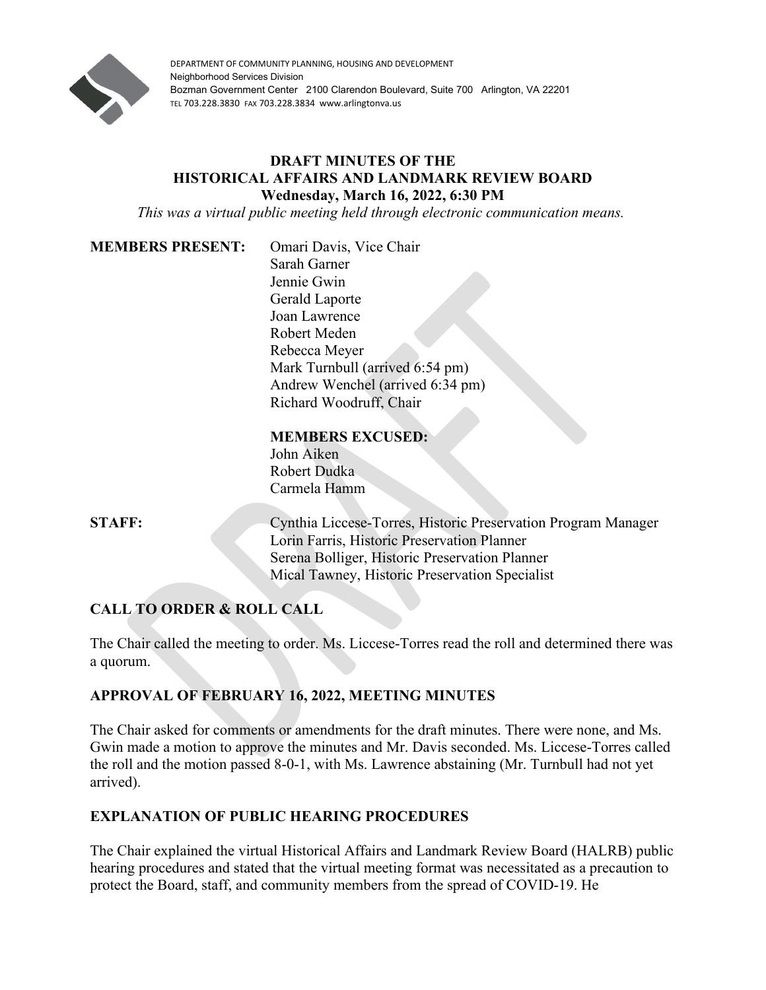

DEPARTMENT OF COMMUNITY PLANNING, HOUSING AND DEVELOPMENT Neighborhood Services Division Bozman Government Center 2100 Clarendon Boulevard, Suite 700 Arlington, VA 22201 TEL 703.228.3830 FAX 703.228.3834 www.arlingtonva.us

#### **DRAFT MINUTES OF THE HISTORICAL AFFAIRS AND LANDMARK REVIEW BOARD Wednesday, March 16, 2022, 6:30 PM**

*This was a virtual public meeting held through electronic communication means.*

#### **MEMBERS PRESENT:** Omari Davis, Vice Chair

Sarah Garner Jennie Gwin Gerald Laporte Joan Lawrence Robert Meden Rebecca Meyer Mark Turnbull (arrived 6:54 pm) Andrew Wenchel (arrived 6:34 pm) Richard Woodruff, Chair

#### **MEMBERS EXCUSED:**

John Aiken Robert Dudka Carmela Hamm

**STAFF:** Cynthia Liccese-Torres, Historic Preservation Program Manager Lorin Farris, Historic Preservation Planner Serena Bolliger, Historic Preservation Planner Mical Tawney, Historic Preservation Specialist

# **CALL TO ORDER & ROLL CALL**

The Chair called the meeting to order. Ms. Liccese-Torres read the roll and determined there was a quorum.

# **APPROVAL OF FEBRUARY 16, 2022, MEETING MINUTES**

The Chair asked for comments or amendments for the draft minutes. There were none, and Ms. Gwin made a motion to approve the minutes and Mr. Davis seconded. Ms. Liccese-Torres called the roll and the motion passed 8-0-1, with Ms. Lawrence abstaining (Mr. Turnbull had not yet arrived).

# **EXPLANATION OF PUBLIC HEARING PROCEDURES**

The Chair explained the virtual Historical Affairs and Landmark Review Board (HALRB) public hearing procedures and stated that the virtual meeting format was necessitated as a precaution to protect the Board, staff, and community members from the spread of COVID-19. He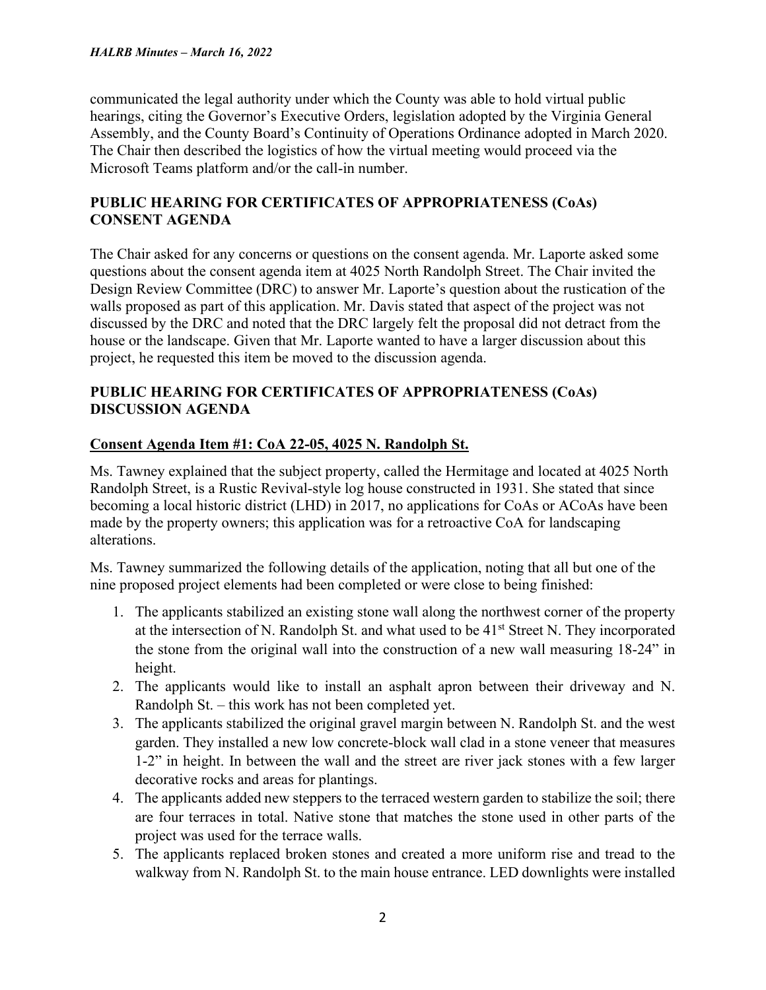#### *HALRB Minutes – March 16, 2022*

communicated the legal authority under which the County was able to hold virtual public hearings, citing the Governor's Executive Orders, legislation adopted by the Virginia General Assembly, and the County Board's Continuity of Operations Ordinance adopted in March 2020. The Chair then described the logistics of how the virtual meeting would proceed via the Microsoft Teams platform and/or the call-in number.

# **PUBLIC HEARING FOR CERTIFICATES OF APPROPRIATENESS (CoAs) CONSENT AGENDA**

The Chair asked for any concerns or questions on the consent agenda. Mr. Laporte asked some questions about the consent agenda item at 4025 North Randolph Street. The Chair invited the Design Review Committee (DRC) to answer Mr. Laporte's question about the rustication of the walls proposed as part of this application. Mr. Davis stated that aspect of the project was not discussed by the DRC and noted that the DRC largely felt the proposal did not detract from the house or the landscape. Given that Mr. Laporte wanted to have a larger discussion about this project, he requested this item be moved to the discussion agenda.

# **PUBLIC HEARING FOR CERTIFICATES OF APPROPRIATENESS (CoAs) DISCUSSION AGENDA**

#### **Consent Agenda Item #1: CoA 22-05, 4025 N. Randolph St.**

Ms. Tawney explained that the subject property, called the Hermitage and located at 4025 North Randolph Street, is a Rustic Revival-style log house constructed in 1931. She stated that since becoming a local historic district (LHD) in 2017, no applications for CoAs or ACoAs have been made by the property owners; this application was for a retroactive CoA for landscaping alterations.

Ms. Tawney summarized the following details of the application, noting that all but one of the nine proposed project elements had been completed or were close to being finished:

- 1. The applicants stabilized an existing stone wall along the northwest corner of the property at the intersection of N. Randolph St. and what used to be 41<sup>st</sup> Street N. They incorporated the stone from the original wall into the construction of a new wall measuring 18-24" in height.
- 2. The applicants would like to install an asphalt apron between their driveway and N. Randolph St. – this work has not been completed yet.
- 3. The applicants stabilized the original gravel margin between N. Randolph St. and the west garden. They installed a new low concrete-block wall clad in a stone veneer that measures 1-2" in height. In between the wall and the street are river jack stones with a few larger decorative rocks and areas for plantings.
- 4. The applicants added new steppers to the terraced western garden to stabilize the soil; there are four terraces in total. Native stone that matches the stone used in other parts of the project was used for the terrace walls.
- 5. The applicants replaced broken stones and created a more uniform rise and tread to the walkway from N. Randolph St. to the main house entrance. LED downlights were installed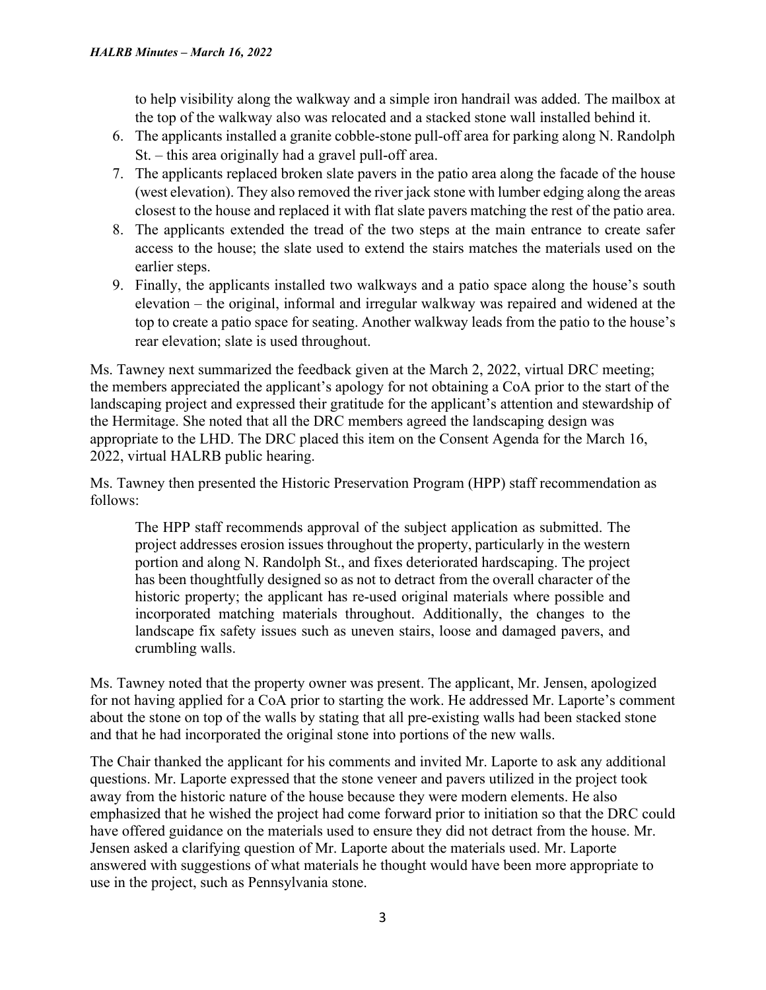to help visibility along the walkway and a simple iron handrail was added. The mailbox at the top of the walkway also was relocated and a stacked stone wall installed behind it.

- 6. The applicants installed a granite cobble-stone pull-off area for parking along N. Randolph St. – this area originally had a gravel pull-off area.
- 7. The applicants replaced broken slate pavers in the patio area along the facade of the house (west elevation). They also removed the river jack stone with lumber edging along the areas closest to the house and replaced it with flat slate pavers matching the rest of the patio area.
- 8. The applicants extended the tread of the two steps at the main entrance to create safer access to the house; the slate used to extend the stairs matches the materials used on the earlier steps.
- 9. Finally, the applicants installed two walkways and a patio space along the house's south elevation – the original, informal and irregular walkway was repaired and widened at the top to create a patio space for seating. Another walkway leads from the patio to the house's rear elevation; slate is used throughout.

Ms. Tawney next summarized the feedback given at the March 2, 2022, virtual DRC meeting; the members appreciated the applicant's apology for not obtaining a CoA prior to the start of the landscaping project and expressed their gratitude for the applicant's attention and stewardship of the Hermitage. She noted that all the DRC members agreed the landscaping design was appropriate to the LHD. The DRC placed this item on the Consent Agenda for the March 16, 2022, virtual HALRB public hearing.

Ms. Tawney then presented the Historic Preservation Program (HPP) staff recommendation as follows:

The HPP staff recommends approval of the subject application as submitted. The project addresses erosion issues throughout the property, particularly in the western portion and along N. Randolph St., and fixes deteriorated hardscaping. The project has been thoughtfully designed so as not to detract from the overall character of the historic property; the applicant has re-used original materials where possible and incorporated matching materials throughout. Additionally, the changes to the landscape fix safety issues such as uneven stairs, loose and damaged pavers, and crumbling walls.

Ms. Tawney noted that the property owner was present. The applicant, Mr. Jensen, apologized for not having applied for a CoA prior to starting the work. He addressed Mr. Laporte's comment about the stone on top of the walls by stating that all pre-existing walls had been stacked stone and that he had incorporated the original stone into portions of the new walls.

The Chair thanked the applicant for his comments and invited Mr. Laporte to ask any additional questions. Mr. Laporte expressed that the stone veneer and pavers utilized in the project took away from the historic nature of the house because they were modern elements. He also emphasized that he wished the project had come forward prior to initiation so that the DRC could have offered guidance on the materials used to ensure they did not detract from the house. Mr. Jensen asked a clarifying question of Mr. Laporte about the materials used. Mr. Laporte answered with suggestions of what materials he thought would have been more appropriate to use in the project, such as Pennsylvania stone.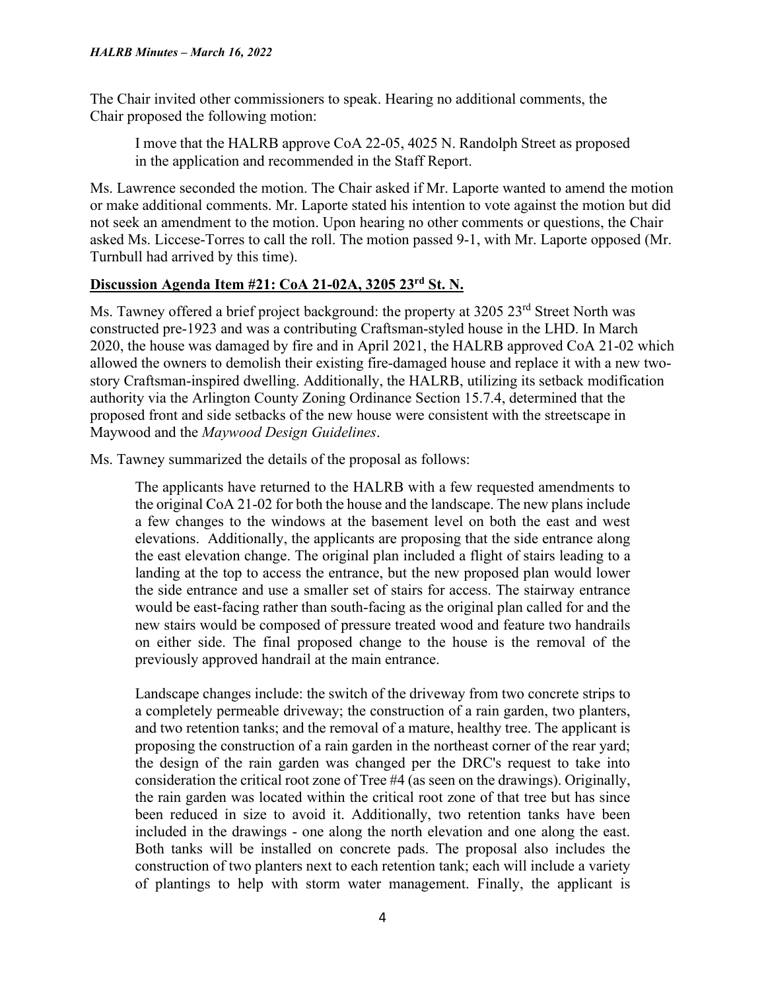The Chair invited other commissioners to speak. Hearing no additional comments, the Chair proposed the following motion:

I move that the HALRB approve CoA 22-05, 4025 N. Randolph Street as proposed in the application and recommended in the Staff Report.

Ms. Lawrence seconded the motion. The Chair asked if Mr. Laporte wanted to amend the motion or make additional comments. Mr. Laporte stated his intention to vote against the motion but did not seek an amendment to the motion. Upon hearing no other comments or questions, the Chair asked Ms. Liccese-Torres to call the roll. The motion passed 9-1, with Mr. Laporte opposed (Mr. Turnbull had arrived by this time).

# **Discussion Agenda Item #21: CoA 21-02A, 3205 23rd St. N.**

Ms. Tawney offered a brief project background: the property at 3205 23<sup>rd</sup> Street North was constructed pre-1923 and was a contributing Craftsman-styled house in the LHD. In March 2020, the house was damaged by fire and in April 2021, the HALRB approved CoA 21-02 which allowed the owners to demolish their existing fire-damaged house and replace it with a new twostory Craftsman-inspired dwelling. Additionally, the HALRB, utilizing its setback modification authority via the Arlington County Zoning Ordinance Section 15.7.4, determined that the proposed front and side setbacks of the new house were consistent with the streetscape in Maywood and the *Maywood Design Guidelines*.

Ms. Tawney summarized the details of the proposal as follows:

The applicants have returned to the HALRB with a few requested amendments to the original CoA 21-02 for both the house and the landscape. The new plans include a few changes to the windows at the basement level on both the east and west elevations. Additionally, the applicants are proposing that the side entrance along the east elevation change. The original plan included a flight of stairs leading to a landing at the top to access the entrance, but the new proposed plan would lower the side entrance and use a smaller set of stairs for access. The stairway entrance would be east-facing rather than south-facing as the original plan called for and the new stairs would be composed of pressure treated wood and feature two handrails on either side. The final proposed change to the house is the removal of the previously approved handrail at the main entrance.

Landscape changes include: the switch of the driveway from two concrete strips to a completely permeable driveway; the construction of a rain garden, two planters, and two retention tanks; and the removal of a mature, healthy tree. The applicant is proposing the construction of a rain garden in the northeast corner of the rear yard; the design of the rain garden was changed per the DRC's request to take into consideration the critical root zone of Tree #4 (as seen on the drawings). Originally, the rain garden was located within the critical root zone of that tree but has since been reduced in size to avoid it. Additionally, two retention tanks have been included in the drawings - one along the north elevation and one along the east. Both tanks will be installed on concrete pads. The proposal also includes the construction of two planters next to each retention tank; each will include a variety of plantings to help with storm water management. Finally, the applicant is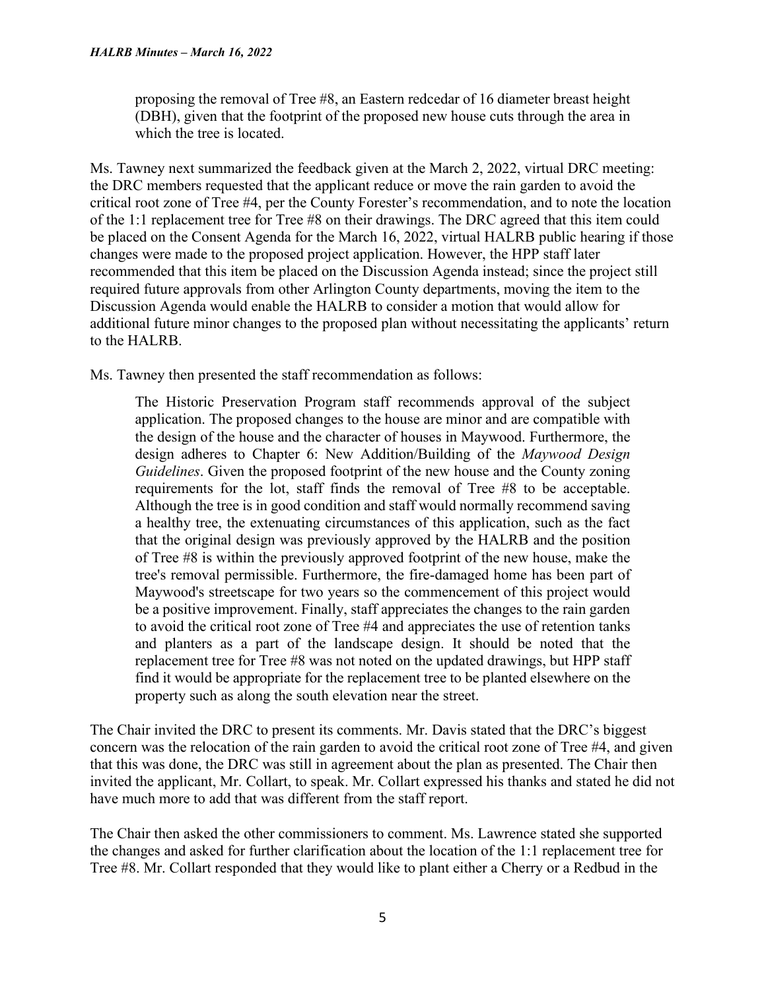proposing the removal of Tree #8, an Eastern redcedar of 16 diameter breast height (DBH), given that the footprint of the proposed new house cuts through the area in which the tree is located.

Ms. Tawney next summarized the feedback given at the March 2, 2022, virtual DRC meeting: the DRC members requested that the applicant reduce or move the rain garden to avoid the critical root zone of Tree #4, per the County Forester's recommendation, and to note the location of the 1:1 replacement tree for Tree #8 on their drawings. The DRC agreed that this item could be placed on the Consent Agenda for the March 16, 2022, virtual HALRB public hearing if those changes were made to the proposed project application. However, the HPP staff later recommended that this item be placed on the Discussion Agenda instead; since the project still required future approvals from other Arlington County departments, moving the item to the Discussion Agenda would enable the HALRB to consider a motion that would allow for additional future minor changes to the proposed plan without necessitating the applicants' return to the HALRB.

Ms. Tawney then presented the staff recommendation as follows:

The Historic Preservation Program staff recommends approval of the subject application. The proposed changes to the house are minor and are compatible with the design of the house and the character of houses in Maywood. Furthermore, the design adheres to Chapter 6: New Addition/Building of the *Maywood Design Guidelines*. Given the proposed footprint of the new house and the County zoning requirements for the lot, staff finds the removal of Tree #8 to be acceptable. Although the tree is in good condition and staff would normally recommend saving a healthy tree, the extenuating circumstances of this application, such as the fact that the original design was previously approved by the HALRB and the position of Tree #8 is within the previously approved footprint of the new house, make the tree's removal permissible. Furthermore, the fire-damaged home has been part of Maywood's streetscape for two years so the commencement of this project would be a positive improvement. Finally, staff appreciates the changes to the rain garden to avoid the critical root zone of Tree #4 and appreciates the use of retention tanks and planters as a part of the landscape design. It should be noted that the replacement tree for Tree #8 was not noted on the updated drawings, but HPP staff find it would be appropriate for the replacement tree to be planted elsewhere on the property such as along the south elevation near the street.

The Chair invited the DRC to present its comments. Mr. Davis stated that the DRC's biggest concern was the relocation of the rain garden to avoid the critical root zone of Tree #4, and given that this was done, the DRC was still in agreement about the plan as presented. The Chair then invited the applicant, Mr. Collart, to speak. Mr. Collart expressed his thanks and stated he did not have much more to add that was different from the staff report.

The Chair then asked the other commissioners to comment. Ms. Lawrence stated she supported the changes and asked for further clarification about the location of the 1:1 replacement tree for Tree #8. Mr. Collart responded that they would like to plant either a Cherry or a Redbud in the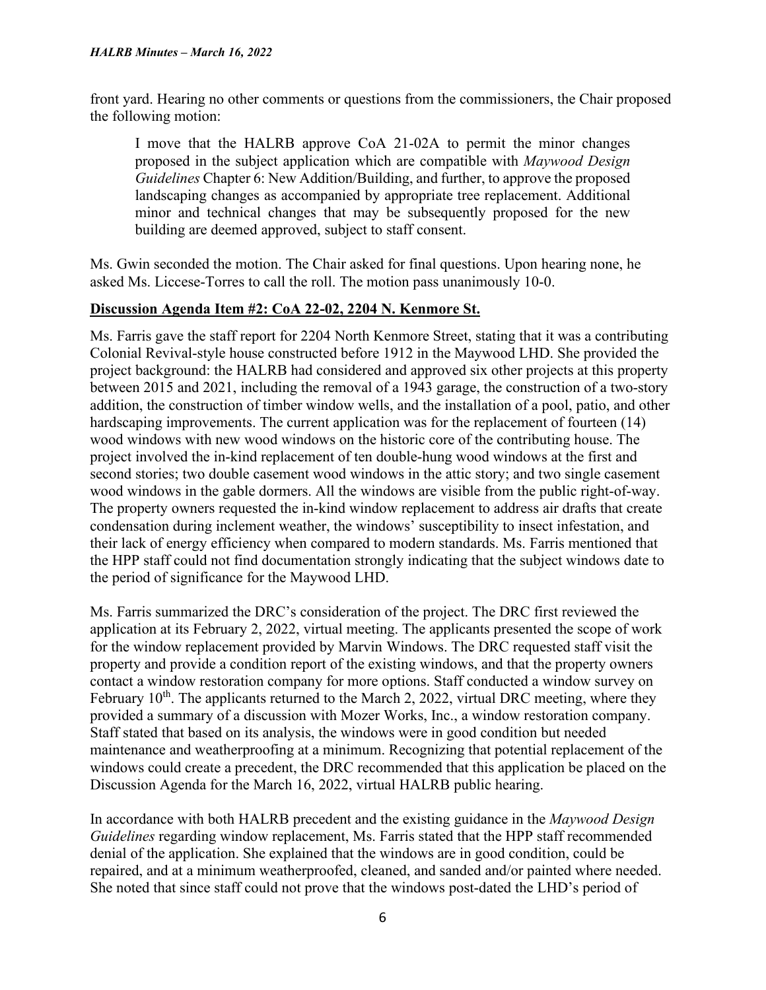front yard. Hearing no other comments or questions from the commissioners, the Chair proposed the following motion:

I move that the HALRB approve CoA 21-02A to permit the minor changes proposed in the subject application which are compatible with *Maywood Design Guidelines* Chapter 6: New Addition/Building, and further, to approve the proposed landscaping changes as accompanied by appropriate tree replacement. Additional minor and technical changes that may be subsequently proposed for the new building are deemed approved, subject to staff consent.

Ms. Gwin seconded the motion. The Chair asked for final questions. Upon hearing none, he asked Ms. Liccese-Torres to call the roll. The motion pass unanimously 10-0.

# **Discussion Agenda Item #2: CoA 22-02, 2204 N. Kenmore St.**

Ms. Farris gave the staff report for 2204 North Kenmore Street, stating that it was a contributing Colonial Revival-style house constructed before 1912 in the Maywood LHD. She provided the project background: the HALRB had considered and approved six other projects at this property between 2015 and 2021, including the removal of a 1943 garage, the construction of a two-story addition, the construction of timber window wells, and the installation of a pool, patio, and other hardscaping improvements. The current application was for the replacement of fourteen (14) wood windows with new wood windows on the historic core of the contributing house. The project involved the in-kind replacement of ten double-hung wood windows at the first and second stories; two double casement wood windows in the attic story; and two single casement wood windows in the gable dormers. All the windows are visible from the public right-of-way. The property owners requested the in-kind window replacement to address air drafts that create condensation during inclement weather, the windows' susceptibility to insect infestation, and their lack of energy efficiency when compared to modern standards. Ms. Farris mentioned that the HPP staff could not find documentation strongly indicating that the subject windows date to the period of significance for the Maywood LHD.

Ms. Farris summarized the DRC's consideration of the project. The DRC first reviewed the application at its February 2, 2022, virtual meeting. The applicants presented the scope of work for the window replacement provided by Marvin Windows. The DRC requested staff visit the property and provide a condition report of the existing windows, and that the property owners contact a window restoration company for more options. Staff conducted a window survey on February  $10<sup>th</sup>$ . The applicants returned to the March 2, 2022, virtual DRC meeting, where they provided a summary of a discussion with Mozer Works, Inc., a window restoration company. Staff stated that based on its analysis, the windows were in good condition but needed maintenance and weatherproofing at a minimum. Recognizing that potential replacement of the windows could create a precedent, the DRC recommended that this application be placed on the Discussion Agenda for the March 16, 2022, virtual HALRB public hearing.

In accordance with both HALRB precedent and the existing guidance in the *Maywood Design Guidelines* regarding window replacement, Ms. Farris stated that the HPP staff recommended denial of the application. She explained that the windows are in good condition, could be repaired, and at a minimum weatherproofed, cleaned, and sanded and/or painted where needed. She noted that since staff could not prove that the windows post-dated the LHD's period of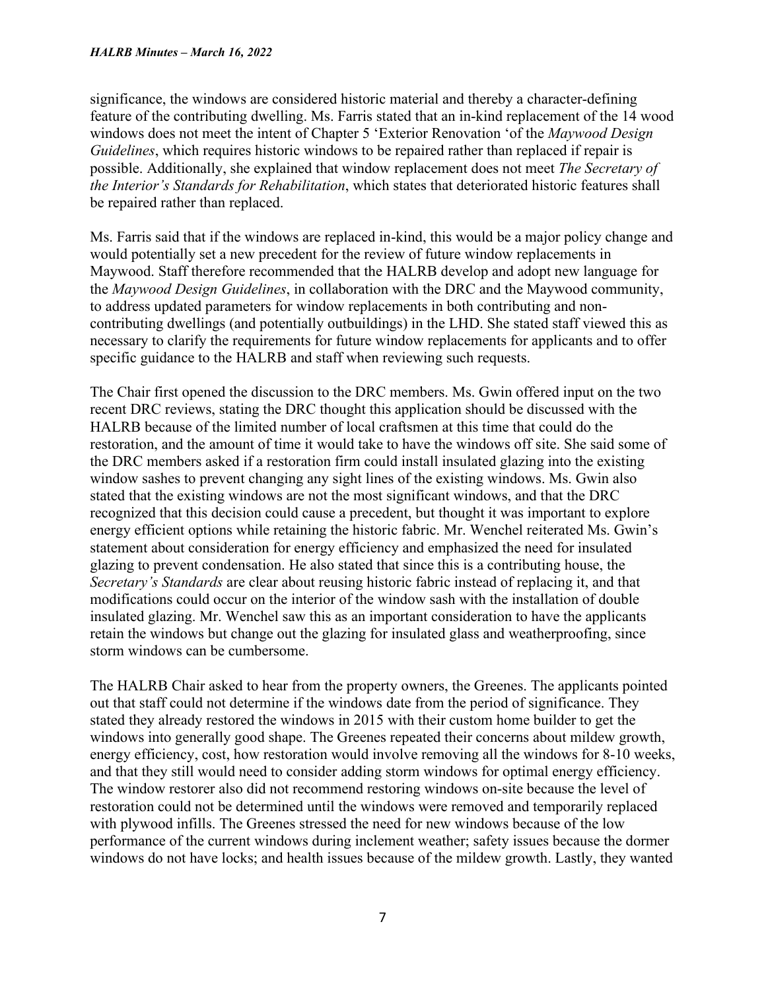#### *HALRB Minutes – March 16, 2022*

significance, the windows are considered historic material and thereby a character-defining feature of the contributing dwelling. Ms. Farris stated that an in-kind replacement of the 14 wood windows does not meet the intent of Chapter 5 'Exterior Renovation 'of the *Maywood Design Guidelines*, which requires historic windows to be repaired rather than replaced if repair is possible. Additionally, she explained that window replacement does not meet *The Secretary of the Interior's Standards for Rehabilitation*, which states that deteriorated historic features shall be repaired rather than replaced.

Ms. Farris said that if the windows are replaced in-kind, this would be a major policy change and would potentially set a new precedent for the review of future window replacements in Maywood. Staff therefore recommended that the HALRB develop and adopt new language for the *Maywood Design Guidelines*, in collaboration with the DRC and the Maywood community, to address updated parameters for window replacements in both contributing and noncontributing dwellings (and potentially outbuildings) in the LHD. She stated staff viewed this as necessary to clarify the requirements for future window replacements for applicants and to offer specific guidance to the HALRB and staff when reviewing such requests.

The Chair first opened the discussion to the DRC members. Ms. Gwin offered input on the two recent DRC reviews, stating the DRC thought this application should be discussed with the HALRB because of the limited number of local craftsmen at this time that could do the restoration, and the amount of time it would take to have the windows off site. She said some of the DRC members asked if a restoration firm could install insulated glazing into the existing window sashes to prevent changing any sight lines of the existing windows. Ms. Gwin also stated that the existing windows are not the most significant windows, and that the DRC recognized that this decision could cause a precedent, but thought it was important to explore energy efficient options while retaining the historic fabric. Mr. Wenchel reiterated Ms. Gwin's statement about consideration for energy efficiency and emphasized the need for insulated glazing to prevent condensation. He also stated that since this is a contributing house, the *Secretary's Standards* are clear about reusing historic fabric instead of replacing it, and that modifications could occur on the interior of the window sash with the installation of double insulated glazing. Mr. Wenchel saw this as an important consideration to have the applicants retain the windows but change out the glazing for insulated glass and weatherproofing, since storm windows can be cumbersome.

The HALRB Chair asked to hear from the property owners, the Greenes. The applicants pointed out that staff could not determine if the windows date from the period of significance. They stated they already restored the windows in 2015 with their custom home builder to get the windows into generally good shape. The Greenes repeated their concerns about mildew growth, energy efficiency, cost, how restoration would involve removing all the windows for 8-10 weeks, and that they still would need to consider adding storm windows for optimal energy efficiency. The window restorer also did not recommend restoring windows on-site because the level of restoration could not be determined until the windows were removed and temporarily replaced with plywood infills. The Greenes stressed the need for new windows because of the low performance of the current windows during inclement weather; safety issues because the dormer windows do not have locks; and health issues because of the mildew growth. Lastly, they wanted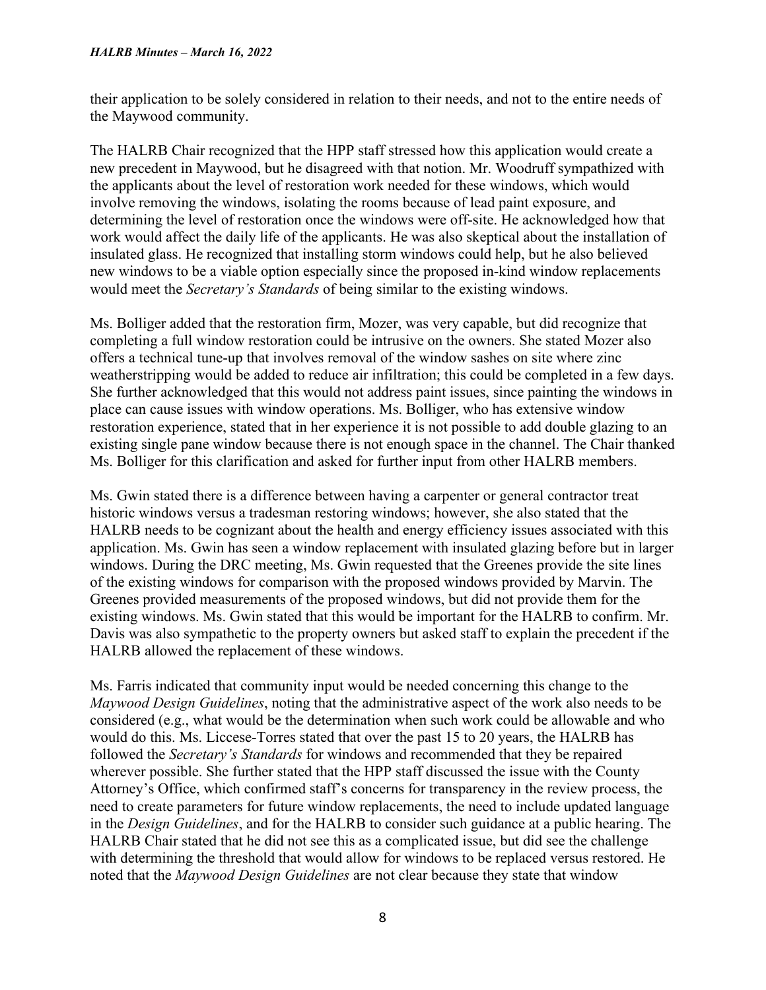their application to be solely considered in relation to their needs, and not to the entire needs of the Maywood community.

The HALRB Chair recognized that the HPP staff stressed how this application would create a new precedent in Maywood, but he disagreed with that notion. Mr. Woodruff sympathized with the applicants about the level of restoration work needed for these windows, which would involve removing the windows, isolating the rooms because of lead paint exposure, and determining the level of restoration once the windows were off-site. He acknowledged how that work would affect the daily life of the applicants. He was also skeptical about the installation of insulated glass. He recognized that installing storm windows could help, but he also believed new windows to be a viable option especially since the proposed in-kind window replacements would meet the *Secretary's Standards* of being similar to the existing windows.

Ms. Bolliger added that the restoration firm, Mozer, was very capable, but did recognize that completing a full window restoration could be intrusive on the owners. She stated Mozer also offers a technical tune-up that involves removal of the window sashes on site where zinc weatherstripping would be added to reduce air infiltration; this could be completed in a few days. She further acknowledged that this would not address paint issues, since painting the windows in place can cause issues with window operations. Ms. Bolliger, who has extensive window restoration experience, stated that in her experience it is not possible to add double glazing to an existing single pane window because there is not enough space in the channel. The Chair thanked Ms. Bolliger for this clarification and asked for further input from other HALRB members.

Ms. Gwin stated there is a difference between having a carpenter or general contractor treat historic windows versus a tradesman restoring windows; however, she also stated that the HALRB needs to be cognizant about the health and energy efficiency issues associated with this application. Ms. Gwin has seen a window replacement with insulated glazing before but in larger windows. During the DRC meeting, Ms. Gwin requested that the Greenes provide the site lines of the existing windows for comparison with the proposed windows provided by Marvin. The Greenes provided measurements of the proposed windows, but did not provide them for the existing windows. Ms. Gwin stated that this would be important for the HALRB to confirm. Mr. Davis was also sympathetic to the property owners but asked staff to explain the precedent if the HALRB allowed the replacement of these windows.

Ms. Farris indicated that community input would be needed concerning this change to the *Maywood Design Guidelines*, noting that the administrative aspect of the work also needs to be considered (e.g., what would be the determination when such work could be allowable and who would do this. Ms. Liccese-Torres stated that over the past 15 to 20 years, the HALRB has followed the *Secretary's Standards* for windows and recommended that they be repaired wherever possible. She further stated that the HPP staff discussed the issue with the County Attorney's Office, which confirmed staff's concerns for transparency in the review process, the need to create parameters for future window replacements, the need to include updated language in the *Design Guidelines*, and for the HALRB to consider such guidance at a public hearing. The HALRB Chair stated that he did not see this as a complicated issue, but did see the challenge with determining the threshold that would allow for windows to be replaced versus restored. He noted that the *Maywood Design Guidelines* are not clear because they state that window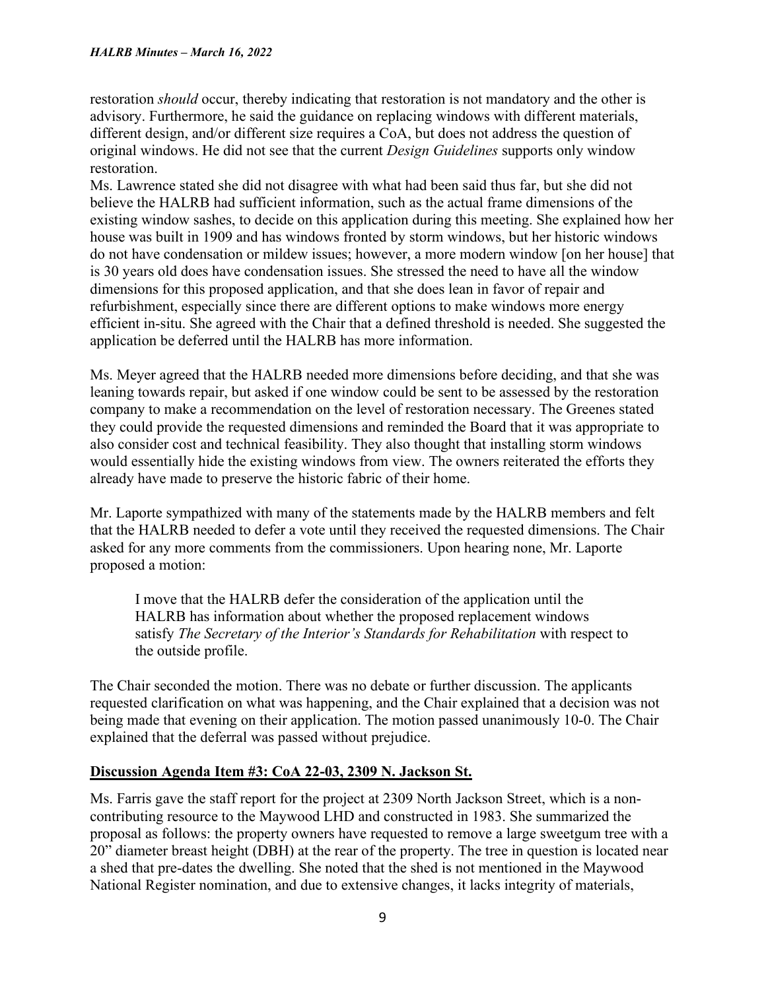restoration *should* occur, thereby indicating that restoration is not mandatory and the other is advisory. Furthermore, he said the guidance on replacing windows with different materials, different design, and/or different size requires a CoA, but does not address the question of original windows. He did not see that the current *Design Guidelines* supports only window restoration.

Ms. Lawrence stated she did not disagree with what had been said thus far, but she did not believe the HALRB had sufficient information, such as the actual frame dimensions of the existing window sashes, to decide on this application during this meeting. She explained how her house was built in 1909 and has windows fronted by storm windows, but her historic windows do not have condensation or mildew issues; however, a more modern window [on her house] that is 30 years old does have condensation issues. She stressed the need to have all the window dimensions for this proposed application, and that she does lean in favor of repair and refurbishment, especially since there are different options to make windows more energy efficient in-situ. She agreed with the Chair that a defined threshold is needed. She suggested the application be deferred until the HALRB has more information.

Ms. Meyer agreed that the HALRB needed more dimensions before deciding, and that she was leaning towards repair, but asked if one window could be sent to be assessed by the restoration company to make a recommendation on the level of restoration necessary. The Greenes stated they could provide the requested dimensions and reminded the Board that it was appropriate to also consider cost and technical feasibility. They also thought that installing storm windows would essentially hide the existing windows from view. The owners reiterated the efforts they already have made to preserve the historic fabric of their home.

Mr. Laporte sympathized with many of the statements made by the HALRB members and felt that the HALRB needed to defer a vote until they received the requested dimensions. The Chair asked for any more comments from the commissioners. Upon hearing none, Mr. Laporte proposed a motion:

I move that the HALRB defer the consideration of the application until the HALRB has information about whether the proposed replacement windows satisfy *The Secretary of the Interior's Standards for Rehabilitation* with respect to the outside profile.

The Chair seconded the motion. There was no debate or further discussion. The applicants requested clarification on what was happening, and the Chair explained that a decision was not being made that evening on their application. The motion passed unanimously 10-0. The Chair explained that the deferral was passed without prejudice.

# **Discussion Agenda Item #3: CoA 22-03, 2309 N. Jackson St.**

Ms. Farris gave the staff report for the project at 2309 North Jackson Street, which is a noncontributing resource to the Maywood LHD and constructed in 1983. She summarized the proposal as follows: the property owners have requested to remove a large sweetgum tree with a 20" diameter breast height (DBH) at the rear of the property. The tree in question is located near a shed that pre-dates the dwelling. She noted that the shed is not mentioned in the Maywood National Register nomination, and due to extensive changes, it lacks integrity of materials,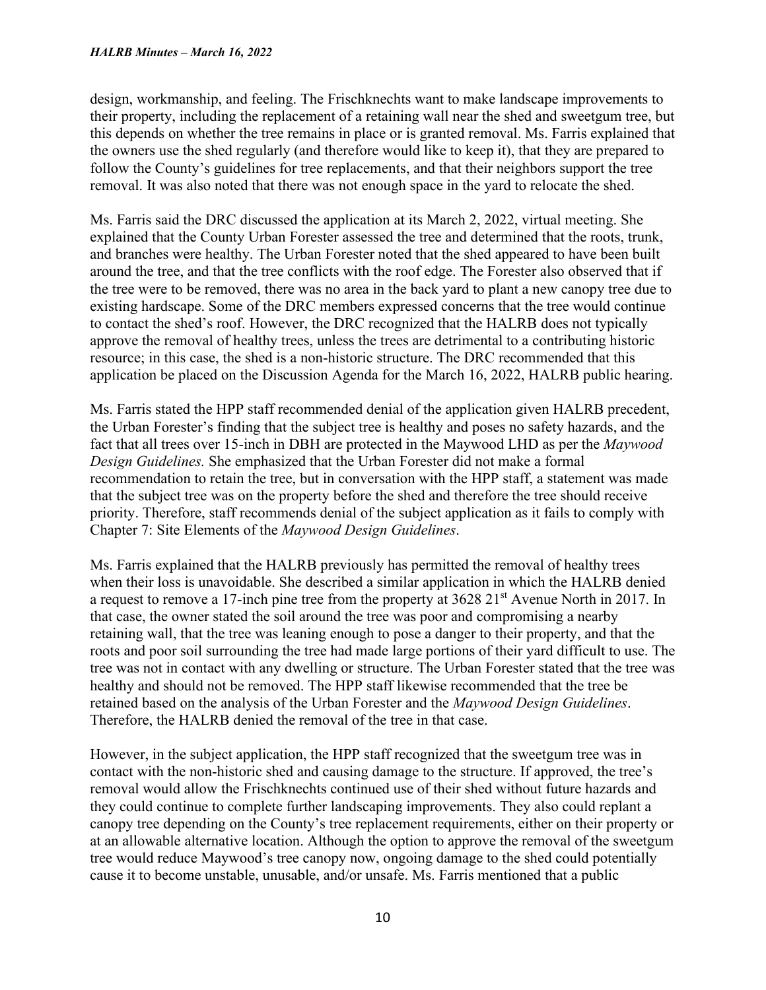design, workmanship, and feeling. The Frischknechts want to make landscape improvements to their property, including the replacement of a retaining wall near the shed and sweetgum tree, but this depends on whether the tree remains in place or is granted removal. Ms. Farris explained that the owners use the shed regularly (and therefore would like to keep it), that they are prepared to follow the County's guidelines for tree replacements, and that their neighbors support the tree removal. It was also noted that there was not enough space in the yard to relocate the shed.

Ms. Farris said the DRC discussed the application at its March 2, 2022, virtual meeting. She explained that the County Urban Forester assessed the tree and determined that the roots, trunk, and branches were healthy. The Urban Forester noted that the shed appeared to have been built around the tree, and that the tree conflicts with the roof edge. The Forester also observed that if the tree were to be removed, there was no area in the back yard to plant a new canopy tree due to existing hardscape. Some of the DRC members expressed concerns that the tree would continue to contact the shed's roof. However, the DRC recognized that the HALRB does not typically approve the removal of healthy trees, unless the trees are detrimental to a contributing historic resource; in this case, the shed is a non-historic structure. The DRC recommended that this application be placed on the Discussion Agenda for the March 16, 2022, HALRB public hearing.

Ms. Farris stated the HPP staff recommended denial of the application given HALRB precedent, the Urban Forester's finding that the subject tree is healthy and poses no safety hazards, and the fact that all trees over 15-inch in DBH are protected in the Maywood LHD as per the *Maywood Design Guidelines.* She emphasized that the Urban Forester did not make a formal recommendation to retain the tree, but in conversation with the HPP staff, a statement was made that the subject tree was on the property before the shed and therefore the tree should receive priority. Therefore, staff recommends denial of the subject application as it fails to comply with Chapter 7: Site Elements of the *Maywood Design Guidelines*.

Ms. Farris explained that the HALRB previously has permitted the removal of healthy trees when their loss is unavoidable. She described a similar application in which the HALRB denied a request to remove a 17-inch pine tree from the property at 3628 21<sup>st</sup> Avenue North in 2017. In that case, the owner stated the soil around the tree was poor and compromising a nearby retaining wall, that the tree was leaning enough to pose a danger to their property, and that the roots and poor soil surrounding the tree had made large portions of their yard difficult to use. The tree was not in contact with any dwelling or structure. The Urban Forester stated that the tree was healthy and should not be removed. The HPP staff likewise recommended that the tree be retained based on the analysis of the Urban Forester and the *Maywood Design Guidelines*. Therefore, the HALRB denied the removal of the tree in that case.

However, in the subject application, the HPP staff recognized that the sweetgum tree was in contact with the non-historic shed and causing damage to the structure. If approved, the tree's removal would allow the Frischknechts continued use of their shed without future hazards and they could continue to complete further landscaping improvements. They also could replant a canopy tree depending on the County's tree replacement requirements, either on their property or at an allowable alternative location. Although the option to approve the removal of the sweetgum tree would reduce Maywood's tree canopy now, ongoing damage to the shed could potentially cause it to become unstable, unusable, and/or unsafe. Ms. Farris mentioned that a public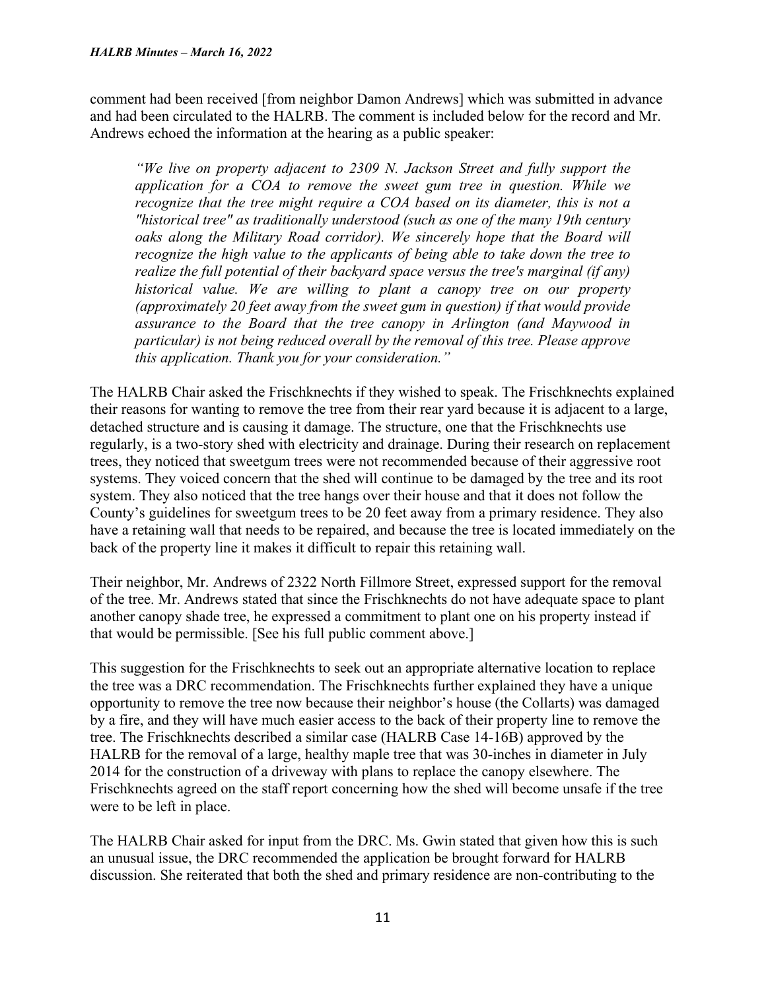comment had been received [from neighbor Damon Andrews] which was submitted in advance and had been circulated to the HALRB. The comment is included below for the record and Mr. Andrews echoed the information at the hearing as a public speaker:

*"We live on property adjacent to 2309 N. Jackson Street and fully support the application for a COA to remove the sweet gum tree in question. While we recognize that the tree might require a COA based on its diameter, this is not a "historical tree" as traditionally understood (such as one of the many 19th century*  oaks along the Military Road corridor). We sincerely hope that the Board will *recognize the high value to the applicants of being able to take down the tree to realize the full potential of their backyard space versus the tree's marginal (if any) historical value. We are willing to plant a canopy tree on our property (approximately 20 feet away from the sweet gum in question) if that would provide assurance to the Board that the tree canopy in Arlington (and Maywood in particular) is not being reduced overall by the removal of this tree. Please approve this application. Thank you for your consideration."* 

The HALRB Chair asked the Frischknechts if they wished to speak. The Frischknechts explained their reasons for wanting to remove the tree from their rear yard because it is adjacent to a large, detached structure and is causing it damage. The structure, one that the Frischknechts use regularly, is a two-story shed with electricity and drainage. During their research on replacement trees, they noticed that sweetgum trees were not recommended because of their aggressive root systems. They voiced concern that the shed will continue to be damaged by the tree and its root system. They also noticed that the tree hangs over their house and that it does not follow the County's guidelines for sweetgum trees to be 20 feet away from a primary residence. They also have a retaining wall that needs to be repaired, and because the tree is located immediately on the back of the property line it makes it difficult to repair this retaining wall.

Their neighbor, Mr. Andrews of 2322 North Fillmore Street, expressed support for the removal of the tree. Mr. Andrews stated that since the Frischknechts do not have adequate space to plant another canopy shade tree, he expressed a commitment to plant one on his property instead if that would be permissible. [See his full public comment above.]

This suggestion for the Frischknechts to seek out an appropriate alternative location to replace the tree was a DRC recommendation. The Frischknechts further explained they have a unique opportunity to remove the tree now because their neighbor's house (the Collarts) was damaged by a fire, and they will have much easier access to the back of their property line to remove the tree. The Frischknechts described a similar case (HALRB Case 14-16B) approved by the HALRB for the removal of a large, healthy maple tree that was 30-inches in diameter in July 2014 for the construction of a driveway with plans to replace the canopy elsewhere. The Frischknechts agreed on the staff report concerning how the shed will become unsafe if the tree were to be left in place.

The HALRB Chair asked for input from the DRC. Ms. Gwin stated that given how this is such an unusual issue, the DRC recommended the application be brought forward for HALRB discussion. She reiterated that both the shed and primary residence are non-contributing to the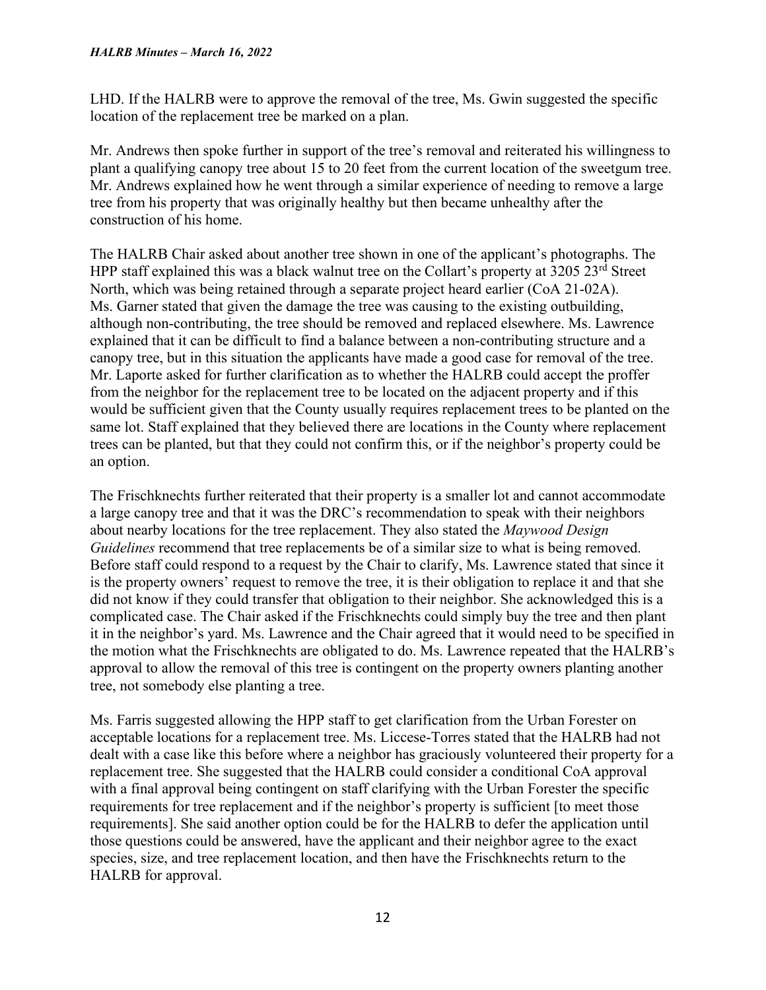LHD. If the HALRB were to approve the removal of the tree, Ms. Gwin suggested the specific location of the replacement tree be marked on a plan.

Mr. Andrews then spoke further in support of the tree's removal and reiterated his willingness to plant a qualifying canopy tree about 15 to 20 feet from the current location of the sweetgum tree. Mr. Andrews explained how he went through a similar experience of needing to remove a large tree from his property that was originally healthy but then became unhealthy after the construction of his home.

The HALRB Chair asked about another tree shown in one of the applicant's photographs. The HPP staff explained this was a black walnut tree on the Collart's property at 3205 23<sup>rd</sup> Street North, which was being retained through a separate project heard earlier (CoA 21-02A). Ms. Garner stated that given the damage the tree was causing to the existing outbuilding, although non-contributing, the tree should be removed and replaced elsewhere. Ms. Lawrence explained that it can be difficult to find a balance between a non-contributing structure and a canopy tree, but in this situation the applicants have made a good case for removal of the tree. Mr. Laporte asked for further clarification as to whether the HALRB could accept the proffer from the neighbor for the replacement tree to be located on the adjacent property and if this would be sufficient given that the County usually requires replacement trees to be planted on the same lot. Staff explained that they believed there are locations in the County where replacement trees can be planted, but that they could not confirm this, or if the neighbor's property could be an option.

The Frischknechts further reiterated that their property is a smaller lot and cannot accommodate a large canopy tree and that it was the DRC's recommendation to speak with their neighbors about nearby locations for the tree replacement. They also stated the *Maywood Design Guidelines* recommend that tree replacements be of a similar size to what is being removed. Before staff could respond to a request by the Chair to clarify, Ms. Lawrence stated that since it is the property owners' request to remove the tree, it is their obligation to replace it and that she did not know if they could transfer that obligation to their neighbor. She acknowledged this is a complicated case. The Chair asked if the Frischknechts could simply buy the tree and then plant it in the neighbor's yard. Ms. Lawrence and the Chair agreed that it would need to be specified in the motion what the Frischknechts are obligated to do. Ms. Lawrence repeated that the HALRB's approval to allow the removal of this tree is contingent on the property owners planting another tree, not somebody else planting a tree.

Ms. Farris suggested allowing the HPP staff to get clarification from the Urban Forester on acceptable locations for a replacement tree. Ms. Liccese-Torres stated that the HALRB had not dealt with a case like this before where a neighbor has graciously volunteered their property for a replacement tree. She suggested that the HALRB could consider a conditional CoA approval with a final approval being contingent on staff clarifying with the Urban Forester the specific requirements for tree replacement and if the neighbor's property is sufficient [to meet those requirements]. She said another option could be for the HALRB to defer the application until those questions could be answered, have the applicant and their neighbor agree to the exact species, size, and tree replacement location, and then have the Frischknechts return to the HALRB for approval.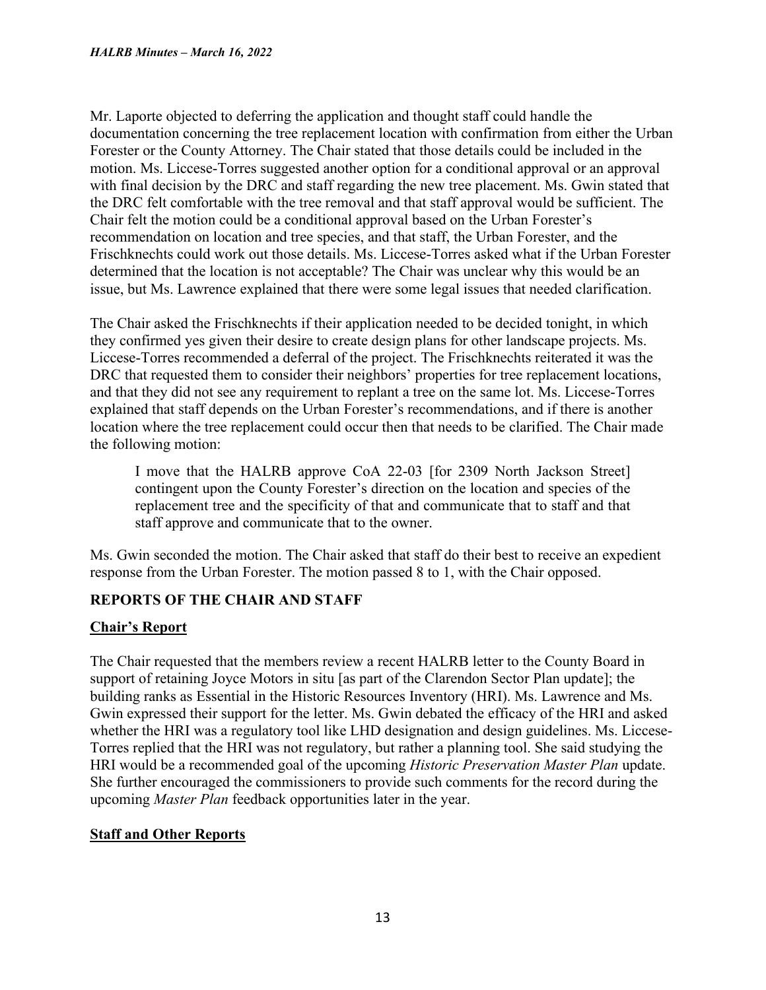Mr. Laporte objected to deferring the application and thought staff could handle the documentation concerning the tree replacement location with confirmation from either the Urban Forester or the County Attorney. The Chair stated that those details could be included in the motion. Ms. Liccese-Torres suggested another option for a conditional approval or an approval with final decision by the DRC and staff regarding the new tree placement. Ms. Gwin stated that the DRC felt comfortable with the tree removal and that staff approval would be sufficient. The Chair felt the motion could be a conditional approval based on the Urban Forester's recommendation on location and tree species, and that staff, the Urban Forester, and the Frischknechts could work out those details. Ms. Liccese-Torres asked what if the Urban Forester determined that the location is not acceptable? The Chair was unclear why this would be an issue, but Ms. Lawrence explained that there were some legal issues that needed clarification.

The Chair asked the Frischknechts if their application needed to be decided tonight, in which they confirmed yes given their desire to create design plans for other landscape projects. Ms. Liccese-Torres recommended a deferral of the project. The Frischknechts reiterated it was the DRC that requested them to consider their neighbors' properties for tree replacement locations, and that they did not see any requirement to replant a tree on the same lot. Ms. Liccese-Torres explained that staff depends on the Urban Forester's recommendations, and if there is another location where the tree replacement could occur then that needs to be clarified. The Chair made the following motion:

I move that the HALRB approve CoA 22-03 [for 2309 North Jackson Street] contingent upon the County Forester's direction on the location and species of the replacement tree and the specificity of that and communicate that to staff and that staff approve and communicate that to the owner.

Ms. Gwin seconded the motion. The Chair asked that staff do their best to receive an expedient response from the Urban Forester. The motion passed 8 to 1, with the Chair opposed.

# **REPORTS OF THE CHAIR AND STAFF**

# **Chair's Report**

The Chair requested that the members review a recent HALRB letter to the County Board in support of retaining Joyce Motors in situ [as part of the Clarendon Sector Plan update]; the building ranks as Essential in the Historic Resources Inventory (HRI). Ms. Lawrence and Ms. Gwin expressed their support for the letter. Ms. Gwin debated the efficacy of the HRI and asked whether the HRI was a regulatory tool like LHD designation and design guidelines. Ms. Liccese-Torres replied that the HRI was not regulatory, but rather a planning tool. She said studying the HRI would be a recommended goal of the upcoming *Historic Preservation Master Plan* update. She further encouraged the commissioners to provide such comments for the record during the upcoming *Master Plan* feedback opportunities later in the year.

# **Staff and Other Reports**